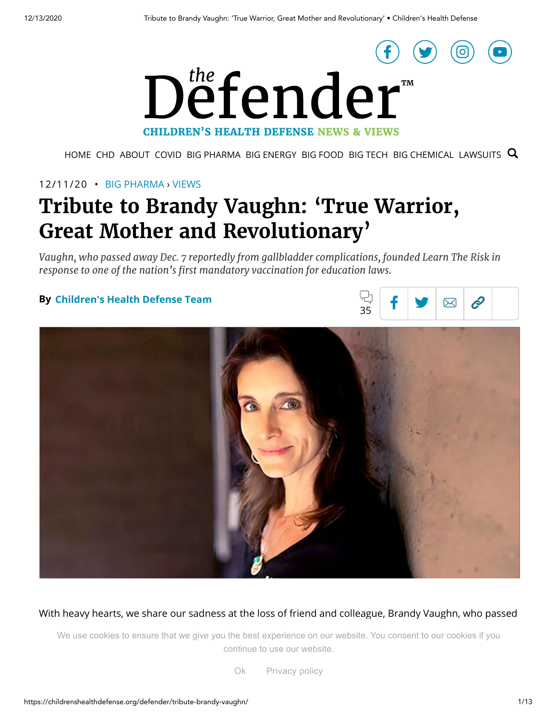

[HOME](https://childrenshealthdefense.org/defender) [CHD](https://childrenshealthdefense.org/) ABOUT [COVID](https://childrenshealthdefense.org/defender_category/covid) BIG [PHARMA](https://childrenshealthdefense.org/defender_category/big-pharma) BIG [ENERGY](https://childrenshealthdefense.org/defender_category/big-energy) BIG [FOOD](https://childrenshealthdefense.org/defender_category/big-food) BIG [TECH](https://childrenshealthdefense.org/defender_category/big-tech) BIG [CHEMICAL](https://childrenshealthdefense.org/defender_category/big-chemical) [LAWSUITS](https://childrenshealthdefense.org/defender_category/lawsuits)  $Q$ 

## 12/11/20 • BIG [PHARMA](https://childrenshealthdefense.org/defender_category/big-pharma) › [VIEWS](https://childrenshealthdefense.org/defender-views)

# **Tribute to Brandy Vaughn: 'True Warrior, Great Mother and Revolutionary'**

*Vaughn, who passed away Dec. 7 reportedly from gallbladder complications, founded Learn The Risk in response to one of the nation's first mandatory vaccination for education laws.*

### **By Children's Health [Defense Team](https://childrenshealthdefense.org/author/childrens-health-defense-team)**





With heavy hearts, we share our sadness at the loss of friend and colleague, Brandy Vaughn, who passed

We use cookies to ensure that we give you the best experience on our website. You consent to our cookies if you continue to use our website.

the national rest mandatory vaccination in  $\mathcal{L}$  rest mandatory poincy Ok [Privacy](https://childrenshealthdefense.org/about-us/privacy-policy/) policy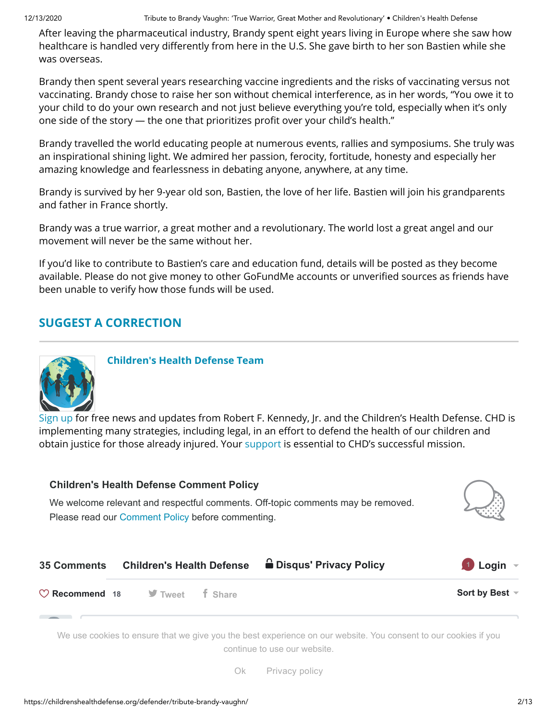After leaving the pharmaceutical industry, Brandy spent eight years living in Europe where she saw how healthcare is handled very differently from here in the U.S. She gave birth to her son Bastien while she was overseas.

Brandy then spent several years researching vaccine ingredients and the risks of vaccinating versus not vaccinating. Brandy chose to raise her son without chemical interference, as in her words, "You owe it to your child to do your own research and not just believe everything you're told, especially when it's only one side of the story  $-$  the one that prioritizes profit over your child's health."

Brandy travelled the world educating people at numerous events, rallies and symposiums. She truly was an inspirational shining light. We admired her passion, ferocity, fortitude, honesty and especially her amazing knowledge and fearlessness in debating anyone, anywhere, at any time.

Brandy is survived by her 9-year old son, Bastien, the love of her life. Bastien will join his grandparents and father in France shortly.

Brandy was a true warrior, a great mother and a revolutionary. The world lost a great angel and our movement will never be the same without her.

If you'd like to contribute to Bastien's care and education fund, details will be posted as they become available. Please do not give money to other GoFundMe accounts or unverified sources as friends have been unable to verify how those funds will be used.

# **SUGGEST A [CORRECTION](https://childrenshealthdefense.org/suggest-a-correction/)**



**Children's Health [Defense Team](https://childrenshealthdefense.org/author/childrens-health-defense-team)**

[Sign](https://childrenshealthdefense.org/about-us/sign-up/) up for free news and updates from Robert F. Kennedy, Jr. and the Children's Health Defense. CHD is implementing many strategies, including legal, in an effort to defend the health of our children and obtain justice for those already injured. Your [support](https://childrenshealthdefense.org/about-us/donate/) is essential to CHD's successful mission.

<span id="page-1-0"></span>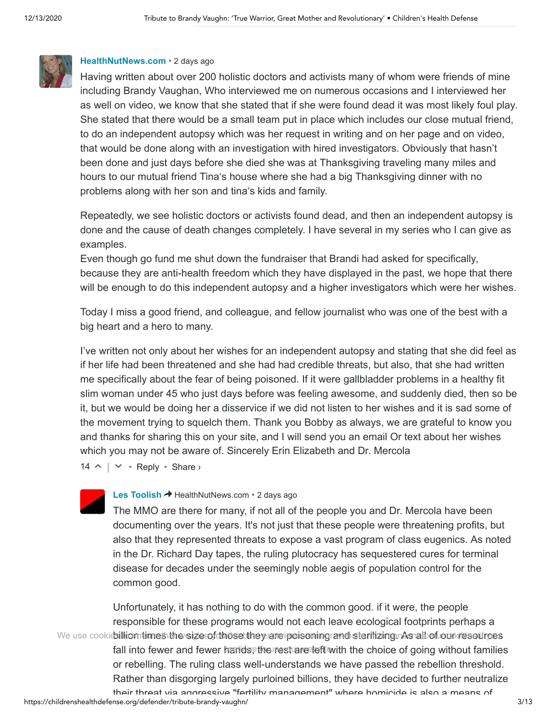

#### **[HealthNutNews.com](https://disqus.com/by/raw_foods_raven/)** • [2 days ago](https://childrenshealthdefense.org/defender/tribute-brandy-vaughn/#comment-5185935557)

Having written about over 200 holistic doctors and activists many of whom were friends of mine including Brandy Vaughan, Who interviewed me on numerous occasions and I interviewed her as well on video, we know that she stated that if she were found dead it was most likely foul play. She stated that there would be a small team put in place which includes our close mutual friend, to do an independent autopsy which was her request in writing and on her page and on video, that would be done along with an investigation with hired investigators. Obviously that hasn't been done and just days before she died she was at Thanksgiving traveling many miles and hours to our mutual friend Tina's house where she had a big Thanksgiving dinner with no problems along with her son and tina's kids and family.

Repeatedly, we see holistic doctors or activists found dead, and then an independent autopsy is done and the cause of death changes completely. I have several in my series who I can give as examples.

Even though go fund me shut down the fundraiser that Brandi had asked for specifically, because they are anti-health freedom which they have displayed in the past, we hope that there will be enough to do this independent autopsy and a higher investigators which were her wishes.

Today I miss a good friend, and colleague, and fellow journalist who was one of the best with a big heart and a hero to many.

I've written not only about her wishes for an independent autopsy and stating that she did feel as if her life had been threatened and she had had credible threats, but also, that she had written me specifically about the fear of being poisoned. If it were gallbladder problems in a healthy fit slim woman under 45 who just days before was feeling awesome, and suddenly died, then so be it, but we would be doing her a disservice if we did not listen to her wishes and it is sad some of the movement trying to squelch them. Thank you Bobby as always, we are grateful to know you and thanks for sharing this on your site, and I will send you an email Or text about her wishes which you may not be aware of. Sincerely Erin Elizabeth and Dr. Mercola

 $14 \wedge | \vee \cdot \text{Reply} \cdot \text{Share} \rangle$ 



#### **[Les Toolish](https://disqus.com/by/lestoolish/) → [HealthNutNews.com](https://childrenshealthdefense.org/defender/tribute-brandy-vaughn/#comment-5185935557) • [2 days ago](https://childrenshealthdefense.org/defender/tribute-brandy-vaughn/#comment-5186236183)**

The MMO are there for many, if not all of the people you and Dr. Mercola have been documenting over the years. It's not just that these people were threatening profits, but also that they represented threats to expose a vast program of class eugenics. As noted in the Dr. Richard Day tapes, the ruling plutocracy has sequestered cures for terminal disease for decades under the seemingly noble aegis of population control for the common good.

https://childrenshealthdefense.org/defender/tribute-brandy-vaughn/ 3/13 Unfortunately, it has nothing to do with the common good. if it were, the people responsible for these programs would not each leave ecological footprints perhaps a We use cookies illiom times the sizie of those they are poisoning rand sterilizing. As all of our resources fall into fewer and fewer handd[s](javascript:void(0);), the rest are left with the choice of going without families or rebelling. The ruling class wel[l-understands w](https://childrenshealthdefense.org/about-us/privacy-policy/)e have passed the rebellion threshold. Rather than disgorging largely purloined billions, they have decided to further neutralize their threat via aggressive "fertility management" where homicide is also a means of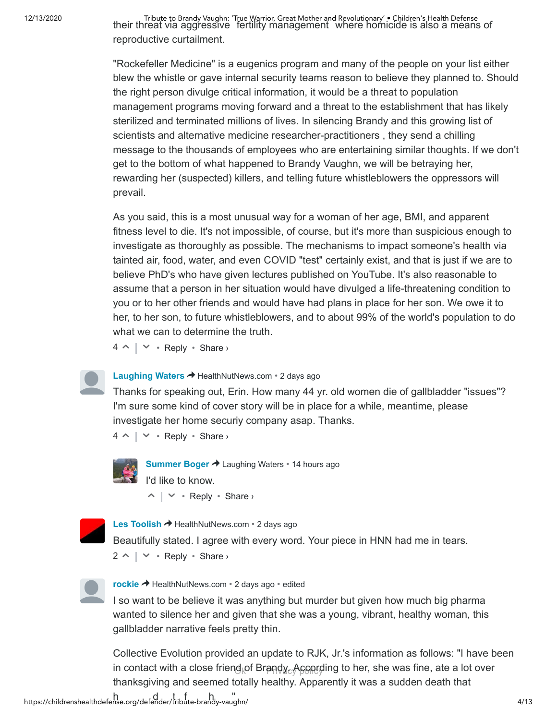Tribute to Brandy Vaughn: 'True Warrior, Great Mother and Revolutionary' • Children's Health Defense و Tribute<br>Their threat via aggressive fertility management where homicide is also a means of reproductive curtailment.

> "Rockefeller Medicine" is a eugenics program and many of the people on your list either blew the whistle or gave internal security teams reason to believe they planned to. Should the right person divulge critical information, it would be a threat to population management programs moving forward and a threat to the establishment that has likely sterilized and terminated millions of lives. In silencing Brandy and this growing list of scientists and alternative medicine researcher-practitioners , they send a chilling message to the thousands of employees who are entertaining similar thoughts. If we don't get to the bottom of what happened to Brandy Vaughn, we will be betraying her, rewarding her (suspected) killers, and telling future whistleblowers the oppressors will prevail.

> As you said, this is a most unusual way for a woman of her age, BMI, and apparent fitness level to die. It's not impossible, of course, but it's more than suspicious enough to investigate as thoroughly as possible. The mechanisms to impact someone's health via tainted air, food, water, and even COVID "test" certainly exist, and that is just if we are to believe PhD's who have given lectures published on YouTube. It's also reasonable to assume that a person in her situation would have divulged a life-threatening condition to you or to her other friends and would have had plans in place for her son. We owe it to her, to her son, to future whistleblowers, and to about 99% of the world's population to do what we can to determine the truth.

 $4 \wedge | \vee \cdot \text{Reply} \cdot \text{Share} \rangle$ 

#### **[Laughing Waters](https://disqus.com/by/laughing_waters/) → HealthNutNews.com • [2 days ago](https://childrenshealthdefense.org/defender/tribute-brandy-vaughn/#comment-5186188463)**

Thanks for speaking out, Erin. How many 44 yr. old women die of gallbladder "issues"? I'm sure some kind of cover story will be in place for a while, meantime, please investigate her home securiy company asap. Thanks.

 $4 \wedge | \vee \cdot \text{Reply} \cdot \text{Share} \rangle$ 



**[Summer Boger](https://disqus.com/by/summerboger/) → Laughing Waters • [14 hours ago](https://childrenshealthdefense.org/defender/tribute-brandy-vaughn/#comment-5187398779)**  $\wedge$  |  $\vee$  • Reply • Share › I'd like to know.



**[Les Toolish](https://disqus.com/by/lestoolish/) →** HealthNutNews.com • [2 days ago](https://childrenshealthdefense.org/defender/tribute-brandy-vaughn/#comment-5186222925)

 $2 \wedge \vert \vee \cdot$  Reply  $\cdot$  Share  $\vee$ Beautifully stated. I agree with every word. Your piece in HNN had me in tears.



**[rockie](https://disqus.com/by/rockiestone/)** > [HealthNutNews.com](https://childrenshealthdefense.org/defender/tribute-brandy-vaughn/#comment-5185935557) • [2 days ago](https://childrenshealthdefense.org/defender/tribute-brandy-vaughn/#comment-5186014012) • edited

I so want to be believe it was anything but murder but given how much big pharma wanted to silence her and given that she was a young, vibrant, healthy woman, this gallbladder narrative feels pretty thin.

in contact with a close friend ${}_\diamondsuit$ of Brand $y_\circ$ According to her, she was fine, ate a lot over Collective Evolution provided an update to RJK, Jr.'s information as follows: "I have be[en](javascript:void(0);) thanksgiving and seemed totally healthy. Apparently it was a sudden death that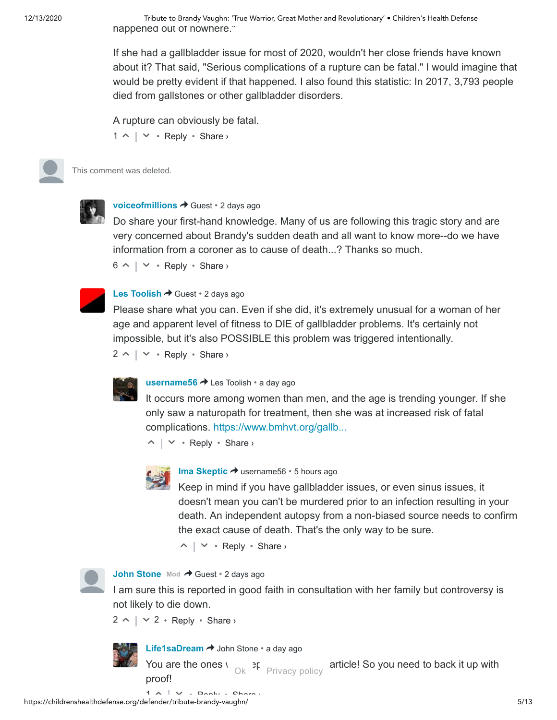12/13/2020 Tribute to Brandy Vaughn: 'True Warrior, Great Mother and Revolutionary' • Children's Health Defense happened out of nowhere."

> If she had a gallbladder issue for most of 2020, wouldn't her close friends have known about it? That said, "Serious complications of a rupture can be fatal." I would imagine that would be pretty evident if that happened. I also found this statistic: In 2017, 3,793 people died from gallstones or other gallbladder disorders.

A rupture can obviously be fatal.

 $1 \wedge \vert \vee \cdot$  Reply  $\cdot$  Share  $\vee$ 

This comment was deleted.



**[voiceofmillions](https://disqus.com/by/voiceofmillions/) →** Guest • [2 days ago](https://childrenshealthdefense.org/defender/tribute-brandy-vaughn/#comment-5185997908)

Do share your first-hand knowledge. Many of us are following this tragic story and are very concerned about Brandy's sudden death and all want to know more--do we have information from a coroner as to cause of death...? Thanks so much.

 $6 \wedge \vert \vee \cdot$  Reply  $\cdot$  Share  $\vee$ 



#### **[Les Toolish](https://disqus.com/by/lestoolish/) → Guest • [2 days ago](https://childrenshealthdefense.org/defender/tribute-brandy-vaughn/#comment-5186213558)**

Please share what you can. Even if she did, it's extremely unusual for a woman of her age and apparent level of fitness to DIE of gallbladder problems. It's certainly not impossible, but it's also POSSIBLE this problem was triggered intentionally.

 $2 \wedge \vert \vee \cdot$  Reply  $\cdot$  Share  $\vee$ 



#### **[username56](https://disqus.com/by/username56/) →** Les Toolish • [a day ago](https://childrenshealthdefense.org/defender/tribute-brandy-vaughn/#comment-5186701407)

It occurs more among women than men, and the age is trending younger. If she only saw a naturopath for treatment, then she was at increased risk of fatal complications. [https://www.bmhvt.org/gallb...](https://disq.us/url?url=https%3A%2F%2Fwww.bmhvt.org%2Fgallbladder-disease-increasing-and-trending-younger%2F%3AJEFlHENZFQ2nlk2Qxpu-3jU435A&cuid=6318977)

 $\wedge$  |  $\vee$  • Reply • Share ›



#### **[Ima Skeptic](https://disqus.com/by/ima_skeptic/) →** username56 • [5 hours ago](https://childrenshealthdefense.org/defender/tribute-brandy-vaughn/#comment-5187840697)

Keep in mind if you have gallbladder issues, or even sinus issues, it doesn't mean you can't be murdered prior to an infection resulting in your death. An independent autopsy from a non-biased source needs to confirm the exact cause of death. That's the only way to be sure.

 $\wedge$  |  $\vee$  • Reply • Share ›



[John Stone](https://disqus.com/by/disqus_CXx6k8m7ZX/) Mod **+** Guest • [2 days ago](https://childrenshealthdefense.org/defender/tribute-brandy-vaughn/#comment-5185832674)

I am sure this is reported in good faith in consultation with her family but controversy is not likely to die down.

 $2 \wedge \vert \vee 2 \cdot \text{Reply} \cdot \text{Share} \rangle$ 



**[Life1saDream](https://disqus.com/by/Life1saDream/) → John Stone • [a day ago](https://childrenshealthdefense.org/defender/tribute-brandy-vaughn/#comment-5186972051)** 

You are the ones  $\frac{1}{k}$  ok Privacy policy article! So you need to back it up with

proof!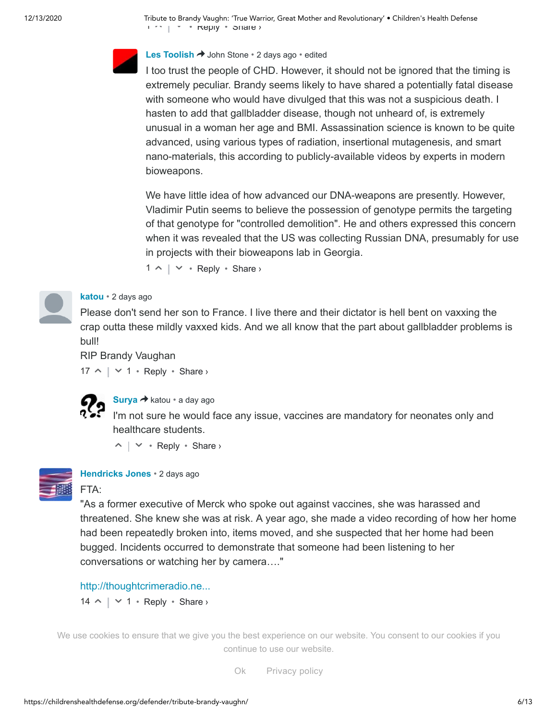12/13/2020 Tribute to Brandy Vaughn: 'True Warrior, Great Mother and Revolutionary' • Children's Health Defense  $1 \leq |X| \leq 1$   $\leq$   $\mathbb{R}$   $\mathbb{R}$   $\mathbb{R}$   $\mathbb{R}$   $\mathbb{R}$   $\mathbb{R}$   $\mathbb{R}$   $\mathbb{R}$   $\mathbb{R}$   $\mathbb{R}$   $\mathbb{R}$   $\mathbb{R}$   $\mathbb{R}$   $\mathbb{R}$   $\mathbb{R}$   $\mathbb{R}$   $\mathbb{R}$   $\mathbb{R}$   $\mathbb{R}$   $\mathbb{R}$   $\mathbb{R}$   $\mathbb{R}$   $\$ 



#### **[Les Toolish](https://disqus.com/by/lestoolish/) →** John Stone • [2 days ago](https://childrenshealthdefense.org/defender/tribute-brandy-vaughn/#comment-5186216571) • edited

I too trust the people of CHD. However, it should not be ignored that the timing is extremely peculiar. Brandy seems likely to have shared a potentially fatal disease with someone who would have divulged that this was not a suspicious death. I hasten to add that gallbladder disease, though not unheard of, is extremely unusual in a woman her age and BMI. Assassination science is known to be quite advanced, using various types of radiation, insertional mutagenesis, and smart nano-materials, this according to publicly-available videos by experts in modern bioweapons.

We have little idea of how advanced our DNA-weapons are presently. However, Vladimir Putin seems to believe the possession of genotype permits the targeting of that genotype for "controlled demolition". He and others expressed this concern when it was revealed that the US was collecting Russian DNA, presumably for use in projects with their bioweapons lab in Georgia.

 $1 \wedge \vert \vee \cdot$  Reply  $\cdot$  Share  $\vee$ 



#### **[katou](https://disqus.com/by/disqus_nliGONqv5v/)** • [2 days ago](https://childrenshealthdefense.org/defender/tribute-brandy-vaughn/#comment-5185698226)

Please don't send her son to France. I live there and their dictator is hell bent on vaxxing the crap outta these mildly vaxxed kids. And we all know that the part about gallbladder problems is bull!

RIP Brandy Vaughan

 $17 \wedge | \vee 1 \cdot \text{Reply} \cdot \text{Share} \rangle$ 



**[Surya](https://disqus.com/by/disqus_ITsc7xEwAw/) →** katou • [a day ago](https://childrenshealthdefense.org/defender/tribute-brandy-vaughn/#comment-5186559298)

I'm not sure he would face any issue, vaccines are mandatory for neonates only and healthcare students.

 $\wedge$  |  $\vee$  • Reply • Share ›



**[Hendricks Jones](https://disqus.com/by/hendricksjones/)** • [2 days ago](https://childrenshealthdefense.org/defender/tribute-brandy-vaughn/#comment-5185795972)

#### FTA:

"As a former executive of Merck who spoke out against vaccines, she was harassed and threatened. She knew she was at risk. A year ago, she made a video recording of how her home had been repeatedly broken into, items moved, and she suspected that her home had been bugged. Incidents occurred to demonstrate that someone had been listening to her conversations or watching her by camera…."

#### [http://thoughtcrimeradio.ne...](http://disq.us/url?url=http%3A%2F%2Fthoughtcrimeradio.net%2F2020%2F12%2Fbrandy-vaughn-vaccine-activist-found-dead%2F%3AvPY6Tqv6qErrt-fuUehwXH5du7E&cuid=6318977)

 $14 \wedge | \vee 1 \cdot \text{Reply} \cdot \text{Share} \rangle$ 

we u[se cook](https://disqus.com/by/Stevalia/)ies to ensure that we give you the best experience on our website. You consent to our cookies if you<br>. continue to use our website.

> doctor who did the automatic who did the automatic system is finded by the automatic over the system over the s Ok Privacy policy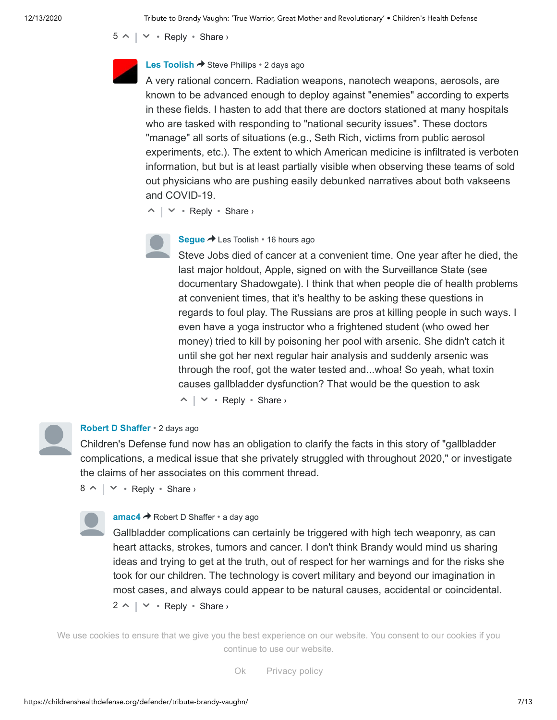$5 \wedge \vert \vee \cdot$  Reply  $\cdot$  Share  $\vee$ 



#### **[Les Toolish](https://disqus.com/by/lestoolish/) →** Steve Phillips • [2 days ago](https://childrenshealthdefense.org/defender/tribute-brandy-vaughn/#comment-5186221669)

A very rational concern. Radiation weapons, nanotech weapons, aerosols, are known to be advanced enough to deploy against "enemies" according to experts in these fields. I hasten to add that there are doctors stationed at many hospitals who are tasked with responding to "national security issues". These doctors "manage" all sorts of situations (e.g., Seth Rich, victims from public aerosol experiments, etc.). The extent to which American medicine is infiltrated is verboten information, but but is at least partially visible when observing these teams of sold out physicians who are pushing easily debunked narratives about both vakseens and COVID-19.

 $\wedge$  |  $\vee$  • Reply • Share ›



#### [Segue](https://disqus.com/by/seguefisch/) → Les Toolish • [16 hours ago](https://childrenshealthdefense.org/defender/tribute-brandy-vaughn/#comment-5187349747)

 $\wedge$  |  $\vee$  • Reply • Share › Steve Jobs died of cancer at a convenient time. One year after he died, the last major holdout, Apple, signed on with the Surveillance State (see documentary Shadowgate). I think that when people die of health problems at convenient times, that it's healthy to be asking these questions in regards to foul play. The Russians are pros at killing people in such ways. I even have a yoga instructor who a frightened student (who owed her money) tried to kill by poisoning her pool with arsenic. She didn't catch it until she got her next regular hair analysis and suddenly arsenic was through the roof, got the water tested and...whoa! So yeah, what toxin causes gallbladder dysfunction? That would be the question to ask



#### **[Robert D Shaffer](https://disqus.com/by/robertdshaffer/)** • [2 days ago](https://childrenshealthdefense.org/defender/tribute-brandy-vaughn/#comment-5185967980)

Children's Defense fund now has an obligation to clarify the facts in this story of "gallbladder complications, a medical issue that she privately struggled with throughout 2020," or investigate the claims of her associates on this comment thread.

 $8 \wedge \vert \vee \cdot$  Reply  $\cdot$  Share  $\vee$ 

#### **[amac4](https://disqus.com/by/amac4/) →** Robert D Shaffer • [a day ago](https://childrenshealthdefense.org/defender/tribute-brandy-vaughn/#comment-5186675763)

Gallbladder complications can certainly be triggered with high tech weaponry, as can heart attacks, strokes, tumors and cancer. I don't think Brandy would mind us sharing ideas and trying to get at the truth, out of respect for her warnings and for the risks she took for our children. The technology is covert military and beyond our imagination in most cases, and always could appear to be natural causes, accidental or coincidental.

 $2 \wedge \vert \vee \cdot$  Reply  $\cdot$  Share  $\vee$ 

We u[se cook](https://disqus.com/by/christophercallen/)ies to ensure that we [give you the best e](https://childrenshealthdefense.org/defender/tribute-brandy-vaughn/#comment-5185967980)xperience on our website. You consent to our cookies if you continue to use our website.

> $\Omega$ k -  $\Gamma$  with c[onversations be](https://childrenshealthdefense.org/about-us/privacy-policy/)ing said that the made she made she made she made she made she made she made she made she made she made she made she made she made she made she made she made she made she made she made sh saying that if she was ever founded  $\mathcal{L}$  is she speaks strongly. In it she speaks strongly strongly strongly. Ok Privacy policy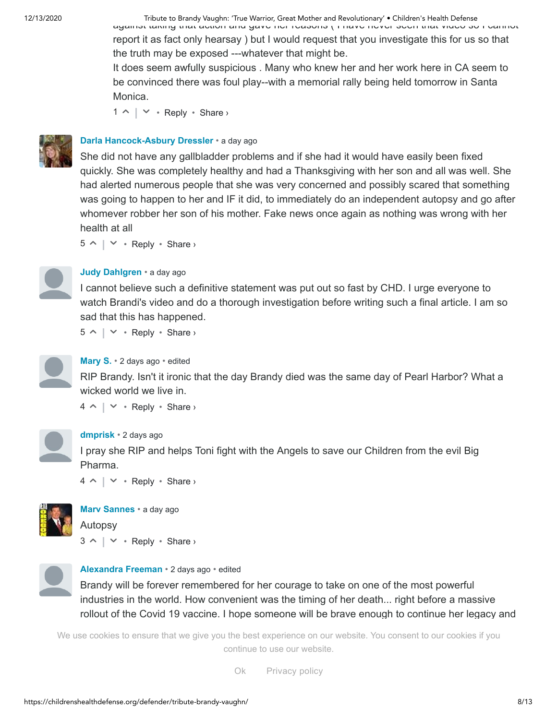12/13/2020 Tribute to Brandy Vaughn: 'True Warrior, Great Mother and Revolutionary' • Children's Health Defense

against taking that action and gave her reasons ( I have never seen that video so I cannot report it as fact only hearsay ) but I would request that you investigate this for us so that the truth may be exposed ---whatever that might be.

It does seem awfully suspicious . Many who knew her and her work here in CA seem to be convinced there was foul play--with a memorial rally being held tomorrow in Santa Monica.

 $1 \wedge \vert \vee \cdot$  Reply  $\cdot$  Share  $\vee$ 



#### **[Darla Hancock-Asbury Dressler](https://disqus.com/by/darlahancockasburydressler/)** • [a day ago](https://childrenshealthdefense.org/defender/tribute-brandy-vaughn/#comment-5186743266)

She did not have any gallbladder problems and if she had it would have easily been fixed quickly. She was completely healthy and had a Thanksgiving with her son and all was well. She had alerted numerous people that she was very concerned and possibly scared that something was going to happen to her and IF it did, to immediately do an independent autopsy and go after whomever robber her son of his mother. Fake news once again as nothing was wrong with her health at all

 $5 \wedge \vert \vee \cdot$  Reply  $\cdot$  Share  $\vee$ 



#### **[Judy Dahlgren](https://disqus.com/by/judydahlgren/)** • [a day ago](https://childrenshealthdefense.org/defender/tribute-brandy-vaughn/#comment-5186482609)

I cannot believe such a definitive statement was put out so fast by CHD. I urge everyone to watch Brandi's video and do a thorough investigation before writing such a final article. I am so sad that this has happened.

 $5 \wedge \vert \vee \cdot$  Reply  $\cdot$  Share  $\vee$ 



#### **[Mary S.](https://disqus.com/by/Nunya1963/)** • [2 days ago](https://childrenshealthdefense.org/defender/tribute-brandy-vaughn/#comment-5185942535) • edited

RIP Brandy. Isn't it ironic that the day Brandy died was the same day of Pearl Harbor? What a wicked world we live in.

 $4 \wedge | \vee \cdot \text{Reply} \cdot \text{Share} \rangle$ 



#### **[dmprisk](https://disqus.com/by/dmprisk/)** • [2 days ago](https://childrenshealthdefense.org/defender/tribute-brandy-vaughn/#comment-5185779546)

I pray she RIP and helps Toni fight with the Angels to save our Children from the evil Big Pharma.

 $4 \wedge | \vee \cdot \text{Reply} \cdot \text{Share} \rangle$ 



**[Marv Sannes](https://disqus.com/by/marvsannes/)** • [a day ago](https://childrenshealthdefense.org/defender/tribute-brandy-vaughn/#comment-5186810855)  $3 \wedge \vert \vee \cdot$  Reply  $\cdot$  Share  $\vee$ Autopsy



#### **[Alexandra Freeman](https://disqus.com/by/disqus_HMywqB2AEW/)** • [2 days ago](https://childrenshealthdefense.org/defender/tribute-brandy-vaughn/#comment-5186050075) • edited

Brandy will be forever remembered for her courage to take on one of the most powerful industries in the world. How convenient was the timing of her death... right before a massive rollout of the Covid 19 vaccine. I hope someone will be brave enough to continue her legacy and

foundation. Rest In Peace with the Angels Brandy. We use cookies to ensure that we give you the best experience on our website. You consent to our cookies if you<br>Continue to use our website. Share › continue to use our website.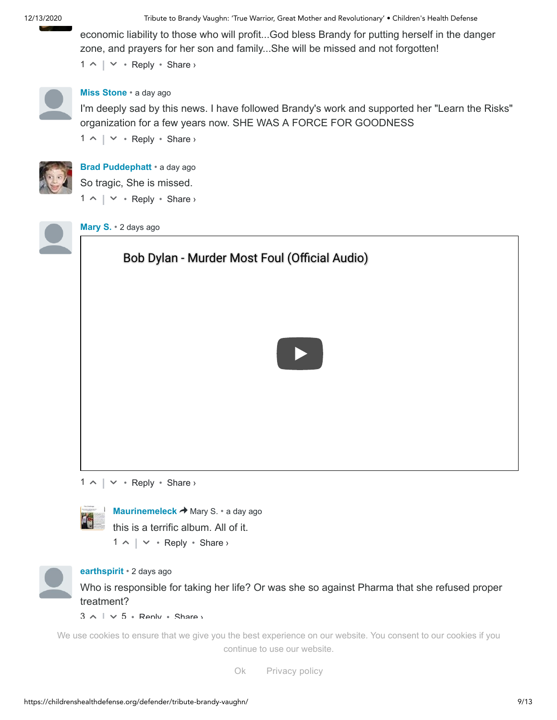12/13/2020 Tribute to Brandy Vaughn: 'True Warrior, Great Mother and Revolutionary' • Children's Health Defense

 $1 \wedge \vert \vee \cdot$  Reply  $\cdot$  Share  $\vee$ economic liability to those who will profit...God bless Brandy for putting herself in the danger zone, and prayers for her son and family...She will be missed and not forgotten!



#### **[Miss Stone](https://disqus.com/by/missstone/)** • [a day ago](https://childrenshealthdefense.org/defender/tribute-brandy-vaughn/#comment-5186945105)

I'm deeply sad by this news. I have followed Brandy's work and supported her "Learn the Risks" organization for a few years now. SHE WAS A FORCE FOR GOODNESS

 $1 \wedge \vert \vee \cdot$  Reply  $\cdot$  Share  $\vee$ 



**[Brad Puddephatt](https://disqus.com/by/bradpuddephatt/)** • [a day ago](https://childrenshealthdefense.org/defender/tribute-brandy-vaughn/#comment-5186701933)  $1 \wedge \vert \vee \cdot$  Reply  $\cdot$  Share  $\vee$ So tragic, She is missed.



**[Mary S.](https://disqus.com/by/Nunya1963/)** • [2 days ago](https://childrenshealthdefense.org/defender/tribute-brandy-vaughn/#comment-5186129369)

# Bob Dylan - Murder Most Foul (Official Audio)



 $1 \wedge \vert \vee \cdot$  Reply  $\cdot$  Share >



**[Maurinemeleck](https://disqus.com/by/Maurinemeleck/) →** Mary S. • [a day ago](https://childrenshealthdefense.org/defender/tribute-brandy-vaughn/#comment-5186829367) this is a terrific album. All of it.

 $1 \wedge \vert \vee \cdot$  Reply  $\cdot$  Share >



#### **[earthspirit](https://disqus.com/by/disqus_Ecsvri4zQe/)** • [2 days ago](https://childrenshealthdefense.org/defender/tribute-brandy-vaughn/#comment-5185798931)

Who is responsible for taking her life? Or was she so against Pharma that she refused proper treatment?

 $3 \wedge \cdots \vee 5 *$  Reply  $*$  Share  $\vee$ 

continue to use our website. We u[se cook](https://disqus.com/by/disqus_swRQpKnQ0n/)ies to ensure that we give you the best experience on our website. You consent to our cookies if you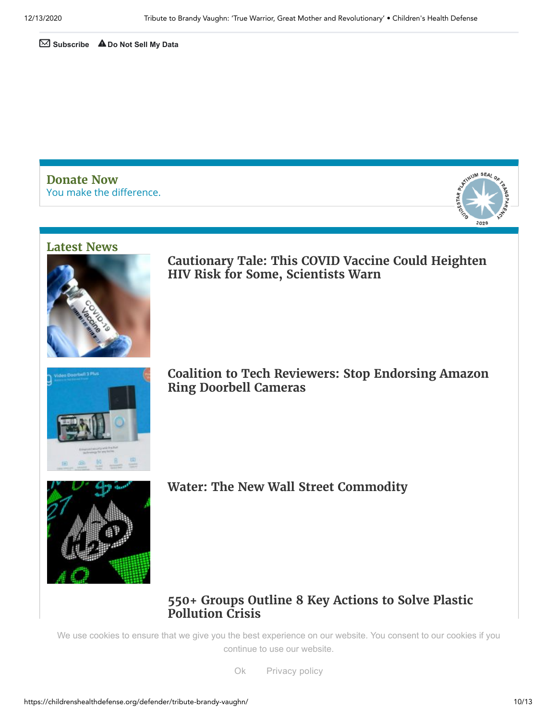✉ **Subscribe** ⚠**[Do Not Sell My Data](https://disqus.com/data-sharing-settings/)**

You make the difference. **[Donate](https://childrenshealthdefense.org/about-us/donate) Now**



#### **[Latest](https://childrenshealthdefense.org/defender-news) News**



**Cautionary Tale: [This COVID](https://childrenshealthdefense.org/defender/covid-vaccine-could-heighten-hiv-risk-scientists-warn/) Vaccine Could Heighten HIV Risk for Some, Scientists Warn**



**Coalition to Tech [Reviewers:](https://childrenshealthdefense.org/defender/coalition-stop-endorsing-amazon-ring-doorbell-cameras/) Stop Endorsing Amazon Ring Doorbell Cameras**



**Water: The New Wall Street [Commodity](https://childrenshealthdefense.org/defender/water-new-wall-street-commodity/)**

## **550+ [Groups Outline](https://childrenshealthdefense.org/defender/key-action-solve-plastic-pollution-crisis/) 8 Key Actions to Solve Plastic Pollution Crisis**

[We use cookies to ensure](https://childrenshealthdefense.org/defender/key-action-solve-plastic-pollution-crisis/) that we give you the best experience on our website. You consent to our cookies if you continue to use our website.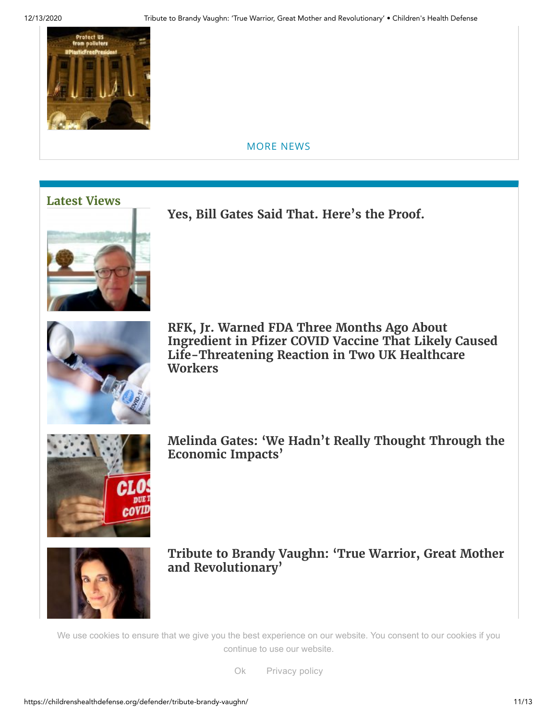

[MORE](https://childrenshealthdefense.org/defender-news) NEWS

# **[Latest](https://childrenshealthdefense.org/defender-views) Views**



**Yes, Bill [Gates Said](https://childrenshealthdefense.org/defender/yes-bill-gates-said-that/) That. Here's the Proof.**



**RFK, Jr. Warned FDA Three Months Ago About Ingredient in Pfizer COVID Vaccine That Likely Caused [Life-Threatening](https://childrenshealthdefense.org/defender/pfizer-covid-vaccine-reaction-fda-peg/) Reaction in Two UK Healthcare Workers**



**Melinda Gates: 'We Hadn't Really Thought Through the [Economic](https://childrenshealthdefense.org/defender/melinda-gates-economic-impacts-pandemic/) Impacts'**



**Tribute to Brandy Vaughn: 'True Warrior, Great Mother and [Revolutionary'](https://childrenshealthdefense.org/defender/tribute-brandy-vaughn/)**

[We use cookies to ensure](https://childrenshealthdefense.org/defender/tribute-brandy-vaughn/) that we give you the best experience on our website. You consent to our cookies if you continue to use our website.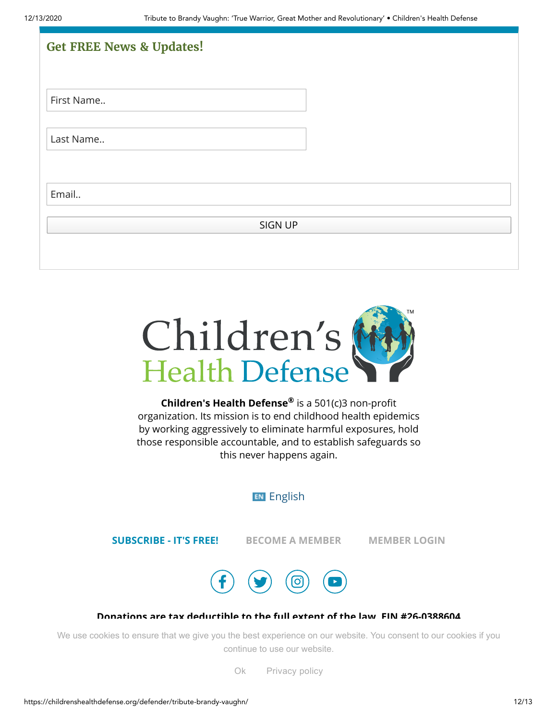| <b>Get FREE News &amp; Updates!</b> |  |
|-------------------------------------|--|
|                                     |  |
| First Name                          |  |
|                                     |  |
| Last Name                           |  |
|                                     |  |
| Email                               |  |
| <b>SIGN UP</b>                      |  |
|                                     |  |



**Children's Health Defense®** is a 501(c)3 non-profit organization. Its mission is to end childhood health epidemics by working aggressively to eliminate harmful exposures, hold those responsible accountable, and to establish safeguards so this never happens again.

# **EN** [English](https://childrenshealthdefense.org/defender/tribute-brandy-vaughn/)

**[SUBSCRIBE](https://childrenshealthdefense.org/about-us/sign-up) - IT'S FREE! BECOME A [MEMBER](https://childrenshealthdefense.org/about-us/membership) [MEMBER](https://childrenshealthdefense.org/about-us/member-login) LOGIN**



#### **Donations are tax deductible to the full extent of the law. EIN #26-0388604**

[We use cookies t](https://childrenshealthdefense.org/)o ensure that we give you [the best ex](https://childrenshealthdefense.org/about-us/terms-of-service/)perience on our website. You consent to our cookies if you continue to use our website.